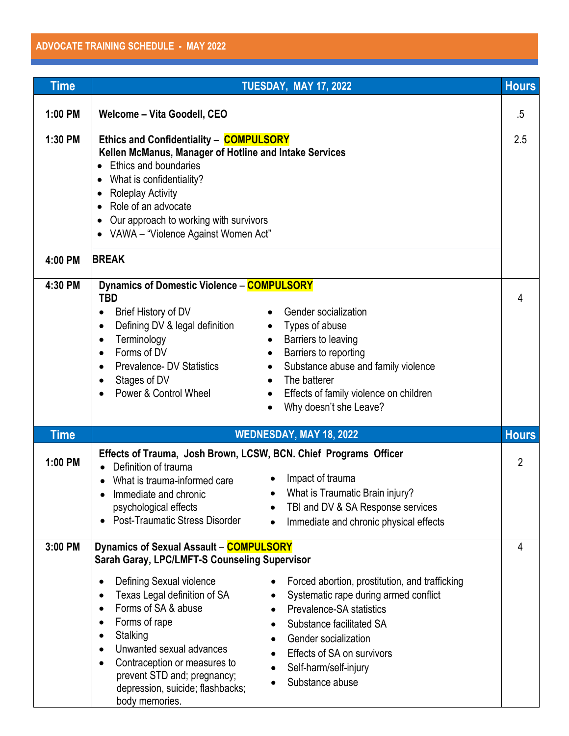## **ADVOCATE TRAINING SCHEDULE - MAY 2022**

| Time        | <b>TUESDAY, MAY 17, 2022</b>                                                                                                                                                                                                                                                                                                                                                                                                                                                                                                                                                                                                                       | <b>Hours</b>   |
|-------------|----------------------------------------------------------------------------------------------------------------------------------------------------------------------------------------------------------------------------------------------------------------------------------------------------------------------------------------------------------------------------------------------------------------------------------------------------------------------------------------------------------------------------------------------------------------------------------------------------------------------------------------------------|----------------|
| 1:00 PM     | Welcome - Vita Goodell, CEO                                                                                                                                                                                                                                                                                                                                                                                                                                                                                                                                                                                                                        | $.5\,$         |
| 1:30 PM     | Ethics and Confidentiality - COMPULSORY<br>Kellen McManus, Manager of Hotline and Intake Services<br>• Ethics and boundaries<br>What is confidentiality?<br>• Roleplay Activity<br>Role of an advocate<br>• Our approach to working with survivors<br>• VAWA - "Violence Against Women Act"                                                                                                                                                                                                                                                                                                                                                        | 2.5            |
| 4:00 PM     | <b>BREAK</b>                                                                                                                                                                                                                                                                                                                                                                                                                                                                                                                                                                                                                                       |                |
| 4:30 PM     | Dynamics of Domestic Violence - COMPULSORY<br><b>TBD</b><br>Gender socialization<br>Brief History of DV<br>$\bullet$<br>Defining DV & legal definition<br>• Types of abuse<br>$\bullet$<br>Terminology<br>Barriers to leaving<br>$\bullet$<br>$\bullet$<br>Forms of DV<br>Barriers to reporting<br>$\bullet$<br>$\bullet$<br><b>Prevalence- DV Statistics</b><br>Substance abuse and family violence<br>$\bullet$<br>$\bullet$<br>Stages of DV<br>The batterer<br>$\bullet$<br>Power & Control Wheel<br>Effects of family violence on children<br>$\bullet$<br>Why doesn't she Leave?                                                              | 4              |
| <b>Time</b> | WEDNESDAY, MAY 18, 2022                                                                                                                                                                                                                                                                                                                                                                                                                                                                                                                                                                                                                            | <b>Hours</b>   |
| 1:00 PM     | Effects of Trauma, Josh Brown, LCSW, BCN. Chief Programs Officer<br>Definition of trauma<br>Impact of trauma<br>What is trauma-informed care<br>$\bullet$<br>What is Traumatic Brain injury?<br>Immediate and chronic<br>TBI and DV & SA Response services<br>psychological effects<br><b>Post-Traumatic Stress Disorder</b><br>Immediate and chronic physical effects                                                                                                                                                                                                                                                                             | $\overline{2}$ |
| 3:00 PM     | Dynamics of Sexual Assault - COMPULSORY                                                                                                                                                                                                                                                                                                                                                                                                                                                                                                                                                                                                            | 4              |
|             | <b>Sarah Garay, LPC/LMFT-S Counseling Supervisor</b><br>Defining Sexual violence<br>Forced abortion, prostitution, and trafficking<br>٠<br>Texas Legal definition of SA<br>Systematic rape during armed conflict<br>٠<br>Forms of SA & abuse<br>Prevalence-SA statistics<br>$\bullet$<br>Forms of rape<br>$\bullet$<br>Substance facilitated SA<br>Stalking<br>٠<br>Gender socialization<br>$\bullet$<br>Unwanted sexual advances<br>٠<br>Effects of SA on survivors<br>Contraception or measures to<br>$\bullet$<br>Self-harm/self-injury<br>prevent STD and; pregnancy;<br>Substance abuse<br>depression, suicide; flashbacks;<br>body memories. |                |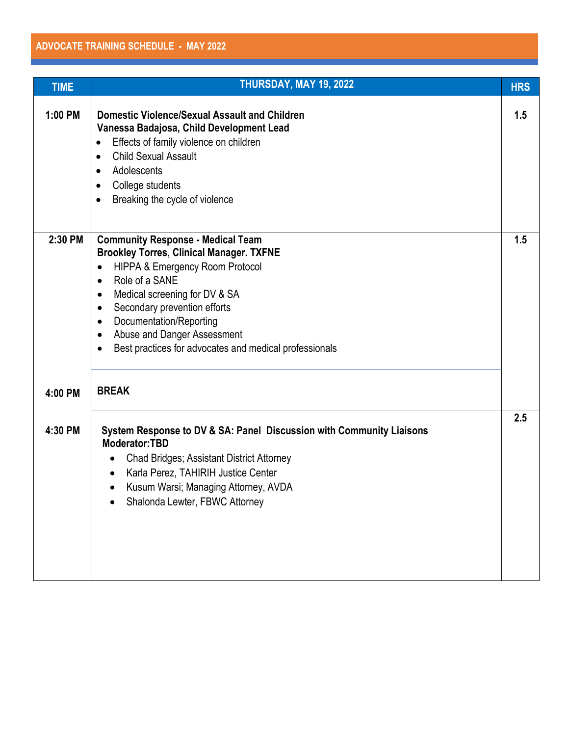<u> 1989 - Johann Stoff, deutscher Stoffen und der Stoffen und der Stoffen und der Stoffen und der Stoffen und der</u>

| <b>TIME</b>        | THURSDAY, MAY 19, 2022                                                                                                                                                                                                                                                                                                                                                                                                                                      | <b>HRS</b> |
|--------------------|-------------------------------------------------------------------------------------------------------------------------------------------------------------------------------------------------------------------------------------------------------------------------------------------------------------------------------------------------------------------------------------------------------------------------------------------------------------|------------|
| 1:00 PM            | <b>Domestic Violence/Sexual Assault and Children</b><br>Vanessa Badajosa, Child Development Lead<br>Effects of family violence on children<br>$\bullet$<br><b>Child Sexual Assault</b><br>$\bullet$<br>Adolescents<br>$\bullet$<br>College students<br>$\bullet$<br>Breaking the cycle of violence<br>$\bullet$                                                                                                                                             | 1.5        |
| 2:30 PM<br>4:00 PM | <b>Community Response - Medical Team</b><br><b>Brookley Torres, Clinical Manager. TXFNE</b><br><b>HIPPA &amp; Emergency Room Protocol</b><br>$\bullet$<br>Role of a SANE<br>$\bullet$<br>Medical screening for DV & SA<br>$\bullet$<br>Secondary prevention efforts<br>$\bullet$<br>Documentation/Reporting<br>$\bullet$<br>Abuse and Danger Assessment<br>$\bullet$<br>Best practices for advocates and medical professionals<br>$\bullet$<br><b>BREAK</b> | 1.5        |
| 4:30 PM            | System Response to DV & SA: Panel Discussion with Community Liaisons<br>Moderator:TBD<br><b>Chad Bridges; Assistant District Attorney</b><br>$\bullet$<br>Karla Perez, TAHIRIH Justice Center<br>$\bullet$<br>Kusum Warsi; Managing Attorney, AVDA<br>Shalonda Lewter, FBWC Attorney                                                                                                                                                                        | 2.5        |